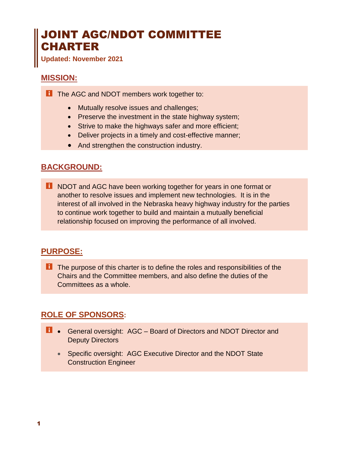# JOINT AGC/NDOT COMMITTEE CHARTER

**Updated: November 2021**

#### **MISSION:**

**T** The AGC and NDOT members work together to:

- Mutually resolve issues and challenges;
- Preserve the investment in the state highway system;
- Strive to make the highways safer and more efficient;
- Deliver projects in a timely and cost-effective manner;
- And strengthen the construction industry.

#### **BACKGROUND:**

**T** NDOT and AGC have been working together for years in one format or another to resolve issues and implement new technologies. It is in the interest of all involved in the Nebraska heavy highway industry for the parties to continue work together to build and maintain a mutually beneficial relationship focused on improving the performance of all involved.

#### **PURPOSE:**

**T** The purpose of this charter is to define the roles and responsibilities of the Chairs and the Committee members, and also define the duties of the Committees as a whole.

# **ROLE OF SPONSORS:**

- **1** General oversight: AGC Board of Directors and NDOT Director and Deputy Directors
	- Specific oversight: AGC Executive Director and the NDOT State Construction Engineer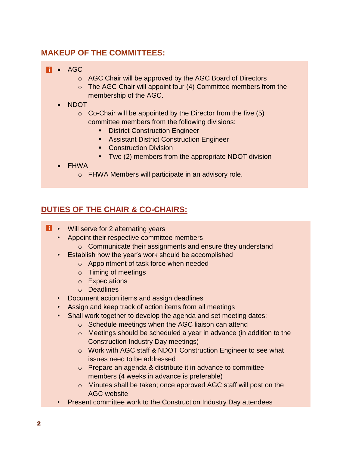# **MAKEUP OF THE COMMITTEES:**

#### **Fi** • AGC

- o AGC Chair will be approved by the AGC Board of Directors
- o The AGC Chair will appoint four (4) Committee members from the membership of the AGC.
- NDOT
	- $\circ$  Co-Chair will be appointed by the Director from the five (5) committee members from the following divisions:
		- **EXEC** District Construction Engineer
		- **EXEC** Assistant District Construction Engineer
		- Construction Division
		- Two (2) members from the appropriate NDOT division
- FHWA
	- o FHWA Members will participate in an advisory role.

# **DUTIES OF THE CHAIR & CO-CHAIRS:**

- **1** Will serve for 2 alternating years
	- Appoint their respective committee members
		- o Communicate their assignments and ensure they understand
	- Establish how the year's work should be accomplished
		- o Appointment of task force when needed
		- o Timing of meetings
		- o Expectations
		- o Deadlines
	- Document action items and assign deadlines
	- Assign and keep track of action items from all meetings
	- Shall work together to develop the agenda and set meeting dates:
		- o Schedule meetings when the AGC liaison can attend
		- o Meetings should be scheduled a year in advance (in addition to the Construction Industry Day meetings)
		- o Work with AGC staff & NDOT Construction Engineer to see what issues need to be addressed
		- o Prepare an agenda & distribute it in advance to committee members (4 weeks in advance is preferable)
		- o Minutes shall be taken; once approved AGC staff will post on the AGC website
	- Present committee work to the Construction Industry Day attendees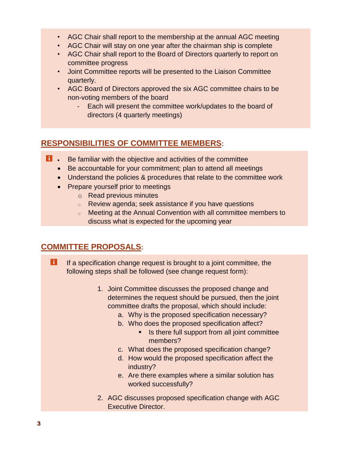- AGC Chair shall report to the membership at the annual AGC meeting
- AGC Chair will stay on one year after the chairman ship is complete
- AGC Chair shall report to the Board of Directors quarterly to report on committee progress
- Joint Committee reports will be presented to the Liaison Committee quarterly.
- AGC Board of Directors approved the six AGC committee chairs to be non-voting members of the board
	- Each will present the committee work/updates to the board of directors (4 quarterly meetings)

# **RESPONSIBILITIES OF COMMITTEE MEMBERS:**

- **1** Be familiar with the objective and activities of the committee
	- Be accountable for your commitment; plan to attend all meetings
	- Understand the policies & procedures that relate to the committee work
	- Prepare yourself prior to meetings
		- o Read previous minutes
		- <sup>o</sup> Review agenda; seek assistance if you have questions
		- <sup>o</sup> Meeting at the Annual Convention with all committee members to discuss what is expected for the upcoming year

# **COMMITTEE PROPOSALS:**

- H If a specification change request is brought to a joint committee, the following steps shall be followed (see change request form):
	- 1. Joint Committee discusses the proposed change and determines the request should be pursued, then the joint committee drafts the proposal, which should include:
		- a. Why is the proposed specification necessary?
		- b. Who does the proposed specification affect?
			- Is there full support from all joint committee members?
		- c. What does the proposed specification change?
		- d. How would the proposed specification affect the industry?
		- e. Are there examples where a similar solution has worked successfully?
	- 2. AGC discusses proposed specification change with AGC Executive Director.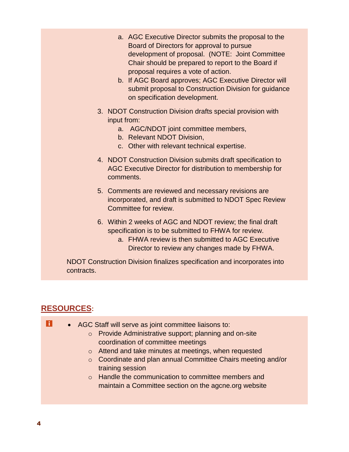- a. AGC Executive Director submits the proposal to the Board of Directors for approval to pursue development of proposal. (NOTE: Joint Committee Chair should be prepared to report to the Board if proposal requires a vote of action.
- b. If AGC Board approves; AGC Executive Director will submit proposal to Construction Division for guidance on specification development.
- 3. NDOT Construction Division drafts special provision with input from:
	- a. AGC/NDOT joint committee members,
	- b. Relevant NDOT Division,
	- c. Other with relevant technical expertise.
- 4. NDOT Construction Division submits draft specification to AGC Executive Director for distribution to membership for comments.
- 5. Comments are reviewed and necessary revisions are incorporated, and draft is submitted to NDOT Spec Review Committee for review.
- 6. Within 2 weeks of AGC and NDOT review; the final draft specification is to be submitted to FHWA for review.
	- a. FHWA review is then submitted to AGC Executive Director to review any changes made by FHWA.

NDOT Construction Division finalizes specification and incorporates into contracts.

#### **RESOURCES:**

H • AGC Staff will serve as joint committee liaisons to: o Provide Administrative support; planning and on-site coordination of committee meetings o Attend and take minutes at meetings, when requested o Coordinate and plan annual Committee Chairs meeting and/or training session o Handle the communication to committee members and maintain a Committee section on the agcne.org website